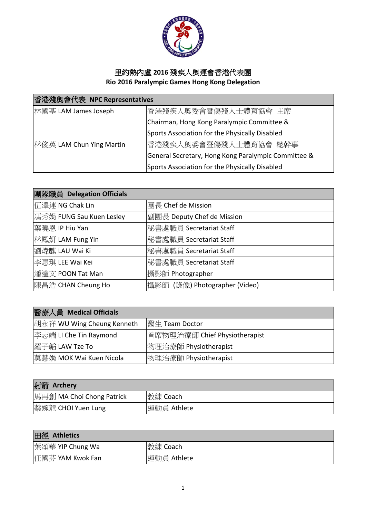

## 里約熱內盧 **2016** 殘疾人奧運會香港代表團 **Rio 2016 Paralympic Games Hong Kong Delegation**

| 香港殘奧會代表 NPC Representatives |                                                     |
|-----------------------------|-----------------------------------------------------|
| 林國基 LAM James Joseph        | 香港殘疾人奧委會暨傷殘人士體育協會 主席                                |
|                             | Chairman, Hong Kong Paralympic Committee &          |
|                             | Sports Association for the Physically Disabled      |
| 林俊英 LAM Chun Ying Martin    | 香港殘疾人奧委會暨傷殘人士體育協會 總幹事                               |
|                             | General Secretary, Hong Kong Paralympic Committee & |
|                             | Sports Association for the Physically Disabled      |

| 團隊職員 Delegation Officials |                               |
|---------------------------|-------------------------------|
| 伍澤連 NG Chak Lin           | 團長 Chef de Mission            |
| 馮秀娟 FUNG Sau Kuen Lesley  | 副團長 Deputy Chef de Mission    |
| 葉曉恩 IP Hiu Yan            | 秘書處職員 Secretariat Staff       |
| 林鳳妍 LAM Fung Yin          | 秘書處職員 Secretariat Staff       |
| 劉煒麒 LAU Wai Ki            | 秘書處職員 Secretariat Staff       |
| 李惠琪 LEE Wai Kei           | 秘書處職員 Secretariat Staff       |
| 潘達文 POON Tat Man          | 攝影師 Photographer              |
| 陳昌浩 CHAN Cheung Ho        | 攝影師 (錄像) Photographer (Video) |

| 醫療人員 Medical Officials     |                                |
|----------------------------|--------------------------------|
| 胡永祥 WU Wing Cheung Kenneth | 醫生 Team Doctor                 |
| 李志端 LI Che Tin Raymond     | l首席物理治療師 Chief Physiotherapist |
| 羅子韜 LAW Tze To             | 物理治療師 Physiotherapist          |
| 莫慧娟 MOK Wai Kuen Nicola    | 物理治療師 Physiotherapist          |

| 射箭 Archery                |             |
|---------------------------|-------------|
| 馬再創 MA Choi Chong Patrick | 教練 Coach    |
| 蔡婉龍 CHOI Yuen Lung        | 運動員 Athlete |

| 田徑 Athletics     |             |
|------------------|-------------|
| 禁頌華 YIP Chung Wa | 教練 Coach    |
| 任國芬 YAM Kwok Fan | 運動員 Athlete |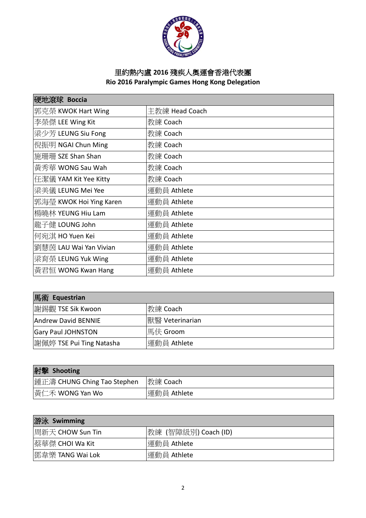

## 里約熱內盧 **2016** 殘疾人奧運會香港代表團 **Rio 2016 Paralympic Games Hong Kong Delegation**

| 硬地滾球 Boccia             |                |
|-------------------------|----------------|
| 郭克榮 KWOK Hart Wing      | 主教練 Head Coach |
| 李榮傑 LEE Wing Kit        | 教練 Coach       |
| 梁少芳 LEUNG Siu Fong      | 教練 Coach       |
| 倪振明 NGAI Chun Ming      | 教練 Coach       |
| 施珊珊 SZE Shan Shan       | 教練 Coach       |
| 黃秀華 WONG Sau Wah        | 教練 Coach       |
| 任潔儀 YAM Kit Yee Kitty   | 教練 Coach       |
| 梁美儀 LEUNG Mei Yee       | 運動員 Athlete    |
| 郭海瑩 KWOK Hoi Ying Karen | 運動員 Athlete    |
| 楊曉林 YEUNG Hiu Lam       | 運動員 Athlete    |
| 龍子健 LOUNG John          | 運動員 Athlete    |
| 何宛淇 HO Yuen Kei         | 運動員 Athlete    |
| 劉慧茵 LAU Wai Yan Vivian  | 運動員 Athlete    |
| 梁育榮 LEUNG Yuk Wing      | 運動員 Athlete    |
| 黃君恒 WONG Kwan Hang      | 運動員 Athlete    |

| 馬術 Equestrian              |                 |
|----------------------------|-----------------|
| 謝錫觀 TSE Sik Kwoon          | 教練 Coach        |
| <b>Andrew David BENNIE</b> | 獸醫 Veterinarian |
| <b>Gary Paul JOHNSTON</b>  | 馬伕 Groom        |
| 謝佩婷 TSE Pui Ting Natasha   | 運動員 Athlete     |

| 射擊 Shooting                 |             |
|-----------------------------|-------------|
| 鍾正濤 CHUNG Ching Tao Stephen | 教練 Coach    |
| 黃仁禾 WONG Yan Wo             | 運動員 Athlete |

| 游泳 Swimming      |                      |
|------------------|----------------------|
| 周新天 CHOW Sun Tin | 教練 (智障級別) Coach (ID) |
| │蔡華傑 CHOI Wa Kit | 運動員 Athlete          |
| 鄧韋樂 TANG Wai Lok | 運動員 Athlete          |